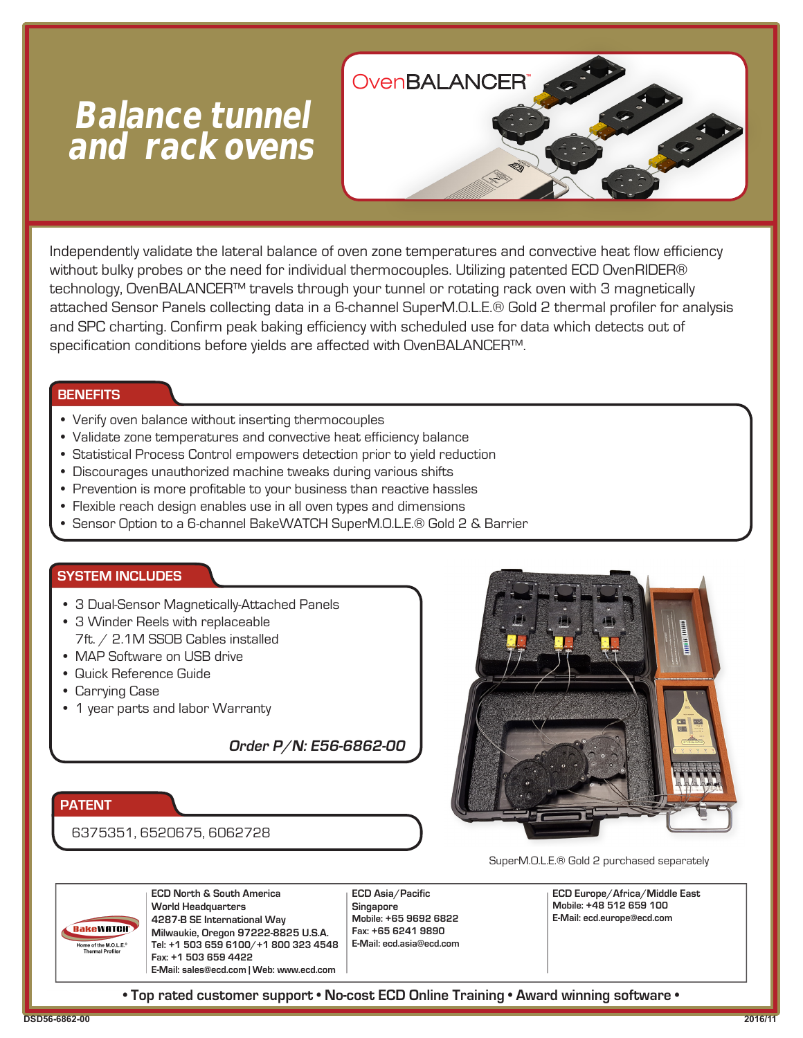# **Balance tunnel and rack ovens**



Independently validate the lateral balance of oven zone temperatures and convective heat flow efficiency without bulky probes or the need for individual thermocouples. Utilizing patented ECD OvenRIDER® technology, OvenBALANCER™ travels through your tunnel or rotating rack oven with 3 magnetically attached Sensor Panels collecting data in a 6-channel SuperM.O.L.E.® Gold 2 thermal profiler for analysis and SPC charting. Confirm peak baking efficiency with scheduled use for data which detects out of specification conditions before yields are affected with OvenBALANCER™.

# **BENEFITS**

- Verify oven balance without inserting thermocouples
- Validate zone temperatures and convective heat efficiency balance
- Statistical Process Control empowers detection prior to yield reduction
- Discourages unauthorized machine tweaks during various shifts
- Prevention is more profitable to your business than reactive hassles
- Flexible reach design enables use in all oven types and dimensions
- Sensor Option to a 6-channel BakeWATCH SuperM.O.L.E.® Gold 2 & Barrier

# **SYSTEM INCLUDES**

- 3 Dual-Sensor Magnetically-Attached Panels
- 3 Winder Reels with replaceable 7ft. / 2.1M SSOB Cables installed
- MAP Software on USB drive
- Quick Reference Guide
- Carrying Case
- 1 year parts and labor Warranty

**Order P/N: E56-6862-00**

# **PATENT**

# 6375351, 6520675, 6062728



SuperM.O.L.E.® Gold 2 purchased separately

**BakeWATCH**  $L = 6$  of the M.O.L.E.<sup>®</sup>

**ECD North & South America World Headquarters 4287-B SE International Way Milwaukie, Oregon 97222-8825 U.S.A. Tel: +1 503 659 6100/+1 800 323 4548 Fax: +1 503 659 4422 E-Mail: sales@ecd.com | Web: www.ecd.com** 

**ECD Asia/Pacific Singapore Mobile: +65 9692 6822 Fax: +65 6241 9890 E-Mail: ecd.asia@ecd.com** 

**ECD Europe/Africa/Middle East Mobile: +48 512 659 100 E-Mail: ecd.europe@ecd.com** 

**• Top rated customer support • No-cost ECD Online Training • Award winning software •**